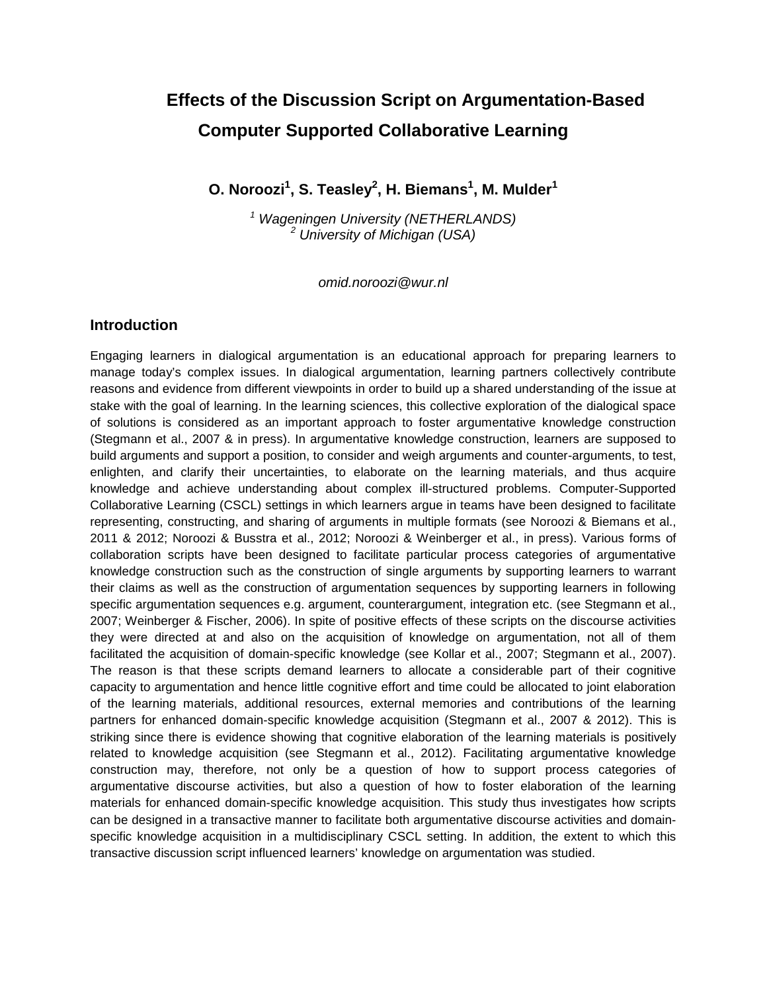# **Effects of the Discussion Script on Argumentation-Based Computer Supported Collaborative Learning**

**O. Noroozi<sup>1</sup> , S. Teasley2 , H. Biemans<sup>1</sup> , M. Mulder<sup>1</sup>**

*<sup>1</sup> Wageningen University (NETHERLANDS) <sup>2</sup> University of Michigan (USA)*

*omid.noroozi@wur.nl*

#### **Introduction**

Engaging learners in dialogical argumentation is an educational approach for preparing learners to manage today's complex issues. In dialogical argumentation, learning partners collectively contribute reasons and evidence from different viewpoints in order to build up a shared understanding of the issue at stake with the goal of learning. In the learning sciences, this collective exploration of the dialogical space of solutions is considered as an important approach to foster argumentative knowledge construction (Stegmann et al., 2007 & in press). In argumentative knowledge construction, learners are supposed to build arguments and support a position, to consider and weigh arguments and counter-arguments, to test, enlighten, and clarify their uncertainties, to elaborate on the learning materials, and thus acquire knowledge and achieve understanding about complex ill-structured problems. Computer-Supported Collaborative Learning (CSCL) settings in which learners argue in teams have been designed to facilitate representing, constructing, and sharing of arguments in multiple formats (see Noroozi & Biemans et al., 2011 & 2012; Noroozi & Busstra et al., 2012; Noroozi & Weinberger et al., in press). Various forms of collaboration scripts have been designed to facilitate particular process categories of argumentative knowledge construction such as the construction of single arguments by supporting learners to warrant their claims as well as the construction of argumentation sequences by supporting learners in following specific argumentation sequences e.g. argument, counterargument, integration etc. (see Stegmann et al., 2007; Weinberger & Fischer, 2006). In spite of positive effects of these scripts on the discourse activities they were directed at and also on the acquisition of knowledge on argumentation, not all of them facilitated the acquisition of domain-specific knowledge (see Kollar et al., 2007; Stegmann et al., 2007). The reason is that these scripts demand learners to allocate a considerable part of their cognitive capacity to argumentation and hence little cognitive effort and time could be allocated to joint elaboration of the learning materials, additional resources, external memories and contributions of the learning partners for enhanced domain-specific knowledge acquisition (Stegmann et al., 2007 & 2012). This is striking since there is evidence showing that cognitive elaboration of the learning materials is positively related to knowledge acquisition (see Stegmann et al., 2012). Facilitating argumentative knowledge construction may, therefore, not only be a question of how to support process categories of argumentative discourse activities, but also a question of how to foster elaboration of the learning materials for enhanced domain-specific knowledge acquisition. This study thus investigates how scripts can be designed in a transactive manner to facilitate both argumentative discourse activities and domainspecific knowledge acquisition in a multidisciplinary CSCL setting. In addition, the extent to which this transactive discussion script influenced learners' knowledge on argumentation was studied.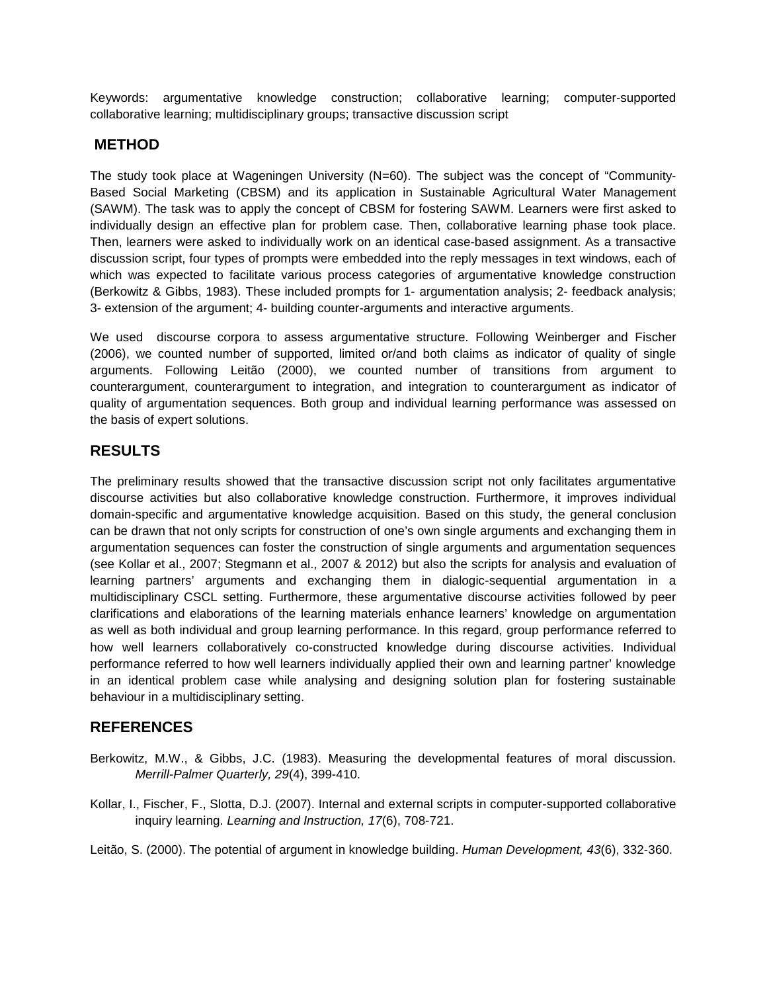Keywords: argumentative knowledge construction; collaborative learning; computer-supported collaborative learning; multidisciplinary groups; transactive discussion script

### **METHOD**

The study took place at Wageningen University (N=60). The subject was the concept of "Community-Based Social Marketing (CBSM) and its application in Sustainable Agricultural Water Management (SAWM). The task was to apply the concept of CBSM for fostering SAWM. Learners were first asked to individually design an effective plan for problem case. Then, collaborative learning phase took place. Then, learners were asked to individually work on an identical case-based assignment. As a transactive discussion script, four types of prompts were embedded into the reply messages in text windows, each of which was expected to facilitate various process categories of argumentative knowledge construction (Berkowitz & Gibbs, 1983). These included prompts for 1- argumentation analysis; 2- feedback analysis; 3- extension of the argument; 4- building counter-arguments and interactive arguments.

We used discourse corpora to assess argumentative structure. Following Weinberger and Fischer (2006), we counted number of supported, limited or/and both claims as indicator of quality of single arguments. Following Leitão (2000), we counted number of transitions from argument to counterargument, counterargument to integration, and integration to counterargument as indicator of quality of argumentation sequences. Both group and individual learning performance was assessed on the basis of expert solutions.

## **RESULTS**

The preliminary results showed that the transactive discussion script not only facilitates argumentative discourse activities but also collaborative knowledge construction. Furthermore, it improves individual domain-specific and argumentative knowledge acquisition. Based on this study, the general conclusion can be drawn that not only scripts for construction of one's own single arguments and exchanging them in argumentation sequences can foster the construction of single arguments and argumentation sequences (see Kollar et al., 2007; Stegmann et al., 2007 & 2012) but also the scripts for analysis and evaluation of learning partners' arguments and exchanging them in dialogic-sequential argumentation in a multidisciplinary CSCL setting. Furthermore, these argumentative discourse activities followed by peer clarifications and elaborations of the learning materials enhance learners' knowledge on argumentation as well as both individual and group learning performance. In this regard, group performance referred to how well learners collaboratively co-constructed knowledge during discourse activities. Individual performance referred to how well learners individually applied their own and learning partner' knowledge in an identical problem case while analysing and designing solution plan for fostering sustainable behaviour in a multidisciplinary setting.

### **REFERENCES**

- Berkowitz, M.W., & Gibbs, J.C. (1983). Measuring the developmental features of moral discussion. *Merrill-Palmer Quarterly, 29*(4), 399-410.
- Kollar, I., Fischer, F., Slotta, D.J. (2007). Internal and external scripts in computer-supported collaborative inquiry learning. *Learning and Instruction, 17*(6), 708-721.

Leitão, S. (2000). The potential of argument in knowledge building. *Human Development, 43*(6), 332-360.